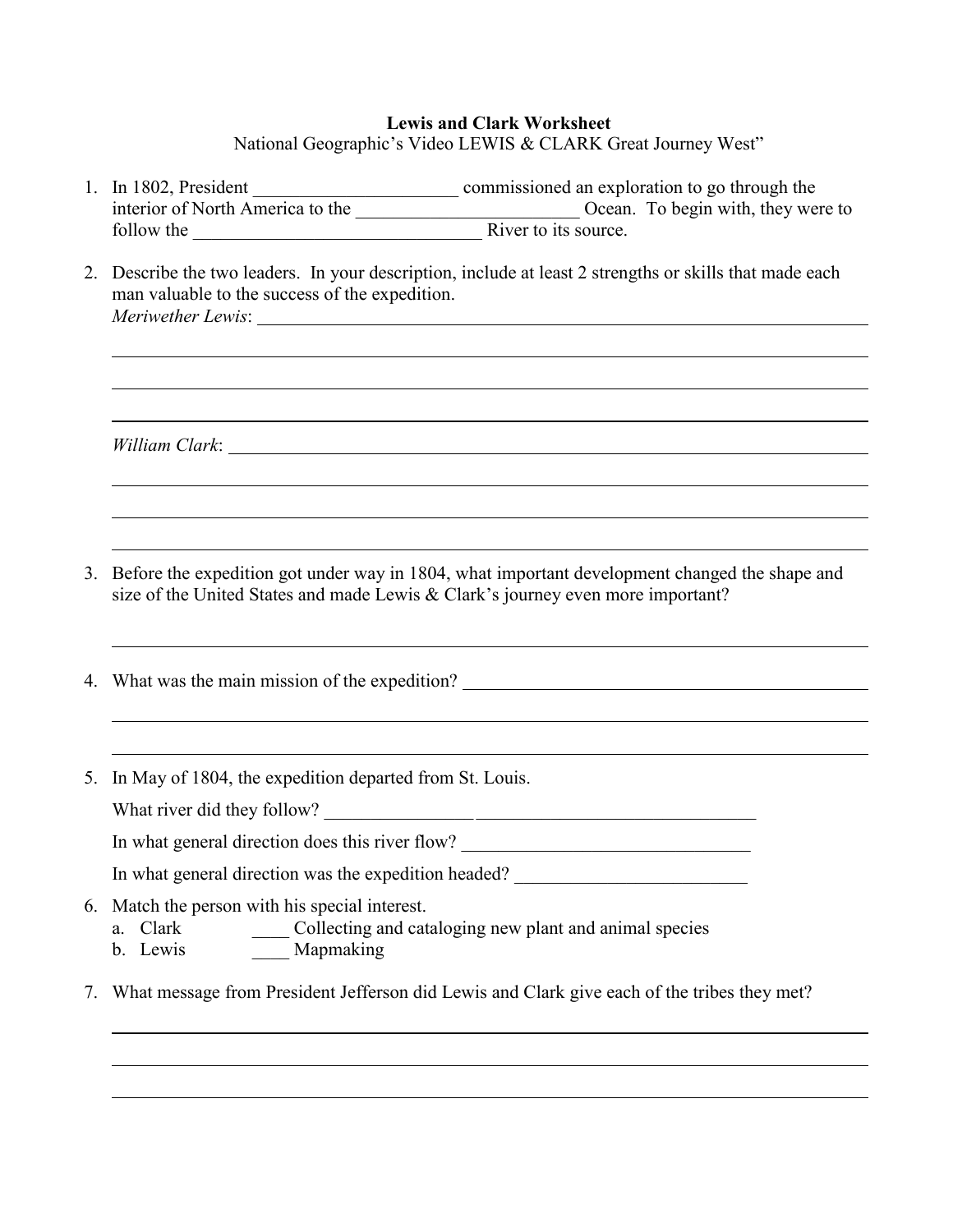## **Lewis and Clark Worksheet**

National Geographic's Video LEWIS & CLARK Great Journey West"

- 1. In 1802, President commissioned an exploration to go through the interior of North America to the \_\_\_\_\_\_\_\_\_\_\_\_\_\_\_\_\_\_\_\_\_\_\_\_ Ocean. To begin with, they were to follow the **EXECUTE:** River to its source.
- 2. Describe the two leaders. In your description, include at least 2 strengths or skills that made each man valuable to the success of the expedition. *Meriwether Lewis*:

*William Clark*:

- 3. Before the expedition got under way in 1804, what important development changed the shape and size of the United States and made Lewis & Clark's journey even more important?
- 4. What was the main mission of the expedition?
- 5. In May of 1804, the expedition departed from St. Louis.

What river did they follow?

In what general direction does this river flow? \_\_\_\_\_\_\_\_\_\_\_\_\_\_\_\_\_\_\_\_\_\_\_\_\_\_\_\_\_\_\_\_

In what general direction was the expedition headed? \_\_\_\_\_\_\_\_\_\_\_\_\_\_\_\_\_\_\_\_\_\_\_\_\_\_\_

- 6. Match the person with his special interest.
	- a. Clark Collecting and cataloging new plant and animal species
	- b. Lewis Mapmaking
- 7. What message from President Jefferson did Lewis and Clark give each of the tribes they met?